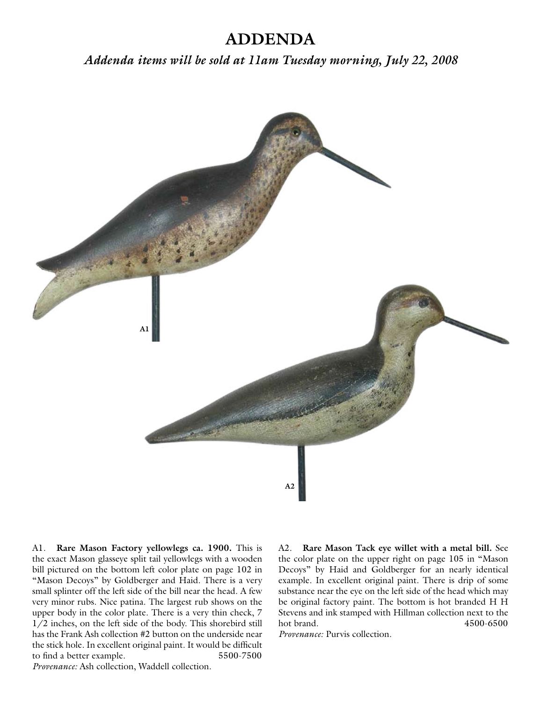## **ADDENDA**

*Addenda items will be sold at 11am Tuesday morning, July 22, 2008*



A1. **Rare Mason Factory yellowlegs ca. 1900.** This is the exact Mason glasseye split tail yellowlegs with a wooden bill pictured on the bottom left color plate on page 102 in "Mason Decoys" by Goldberger and Haid. There is a very small splinter off the left side of the bill near the head. A few very minor rubs. Nice patina. The largest rub shows on the upper body in the color plate. There is a very thin check, 7 1/2 inches, on the left side of the body. This shorebird still has the Frank Ash collection #2 button on the underside near the stick hole. In excellent original paint. It would be difficult to find a better example. 5500-7500 *Provenance:* Ash collection, Waddell collection.

A2. **Rare Mason Tack eye willet with a metal bill.** See the color plate on the upper right on page 105 in "Mason Decoys" by Haid and Goldberger for an nearly identical example. In excellent original paint. There is drip of some substance near the eye on the left side of the head which may be original factory paint. The bottom is hot branded H H Stevens and ink stamped with Hillman collection next to the hot brand. 4500-6500

*Provenance:* Purvis collection.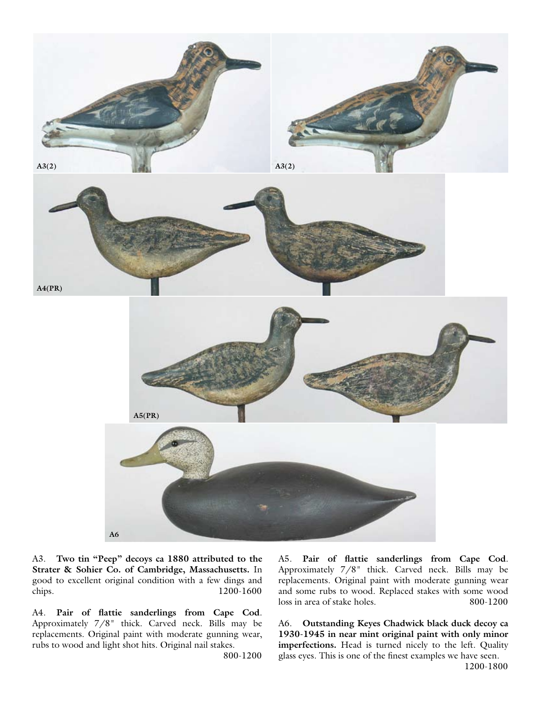

A3. **Two tin "Peep" decoys ca 1880 attributed to the Strater & Sohier Co. of Cambridge, Massachusetts.** In good to excellent original condition with a few dings and chips. 1200-1600

A4. **Pair of flattie sanderlings from Cape Cod**. Approximately 7/8" thick. Carved neck. Bills may be replacements. Original paint with moderate gunning wear, rubs to wood and light shot hits. Original nail stakes.

800-1200

A5. **Pair of flattie sanderlings from Cape Cod**. Approximately 7/8" thick. Carved neck. Bills may be replacements. Original paint with moderate gunning wear and some rubs to wood. Replaced stakes with some wood loss in area of stake holes. 800-1200

A6. **Outstanding Keyes Chadwick black duck decoy ca 1930-1945 in near mint original paint with only minor imperfections.** Head is turned nicely to the left. Quality glass eyes. This is one of the finest examples we have seen.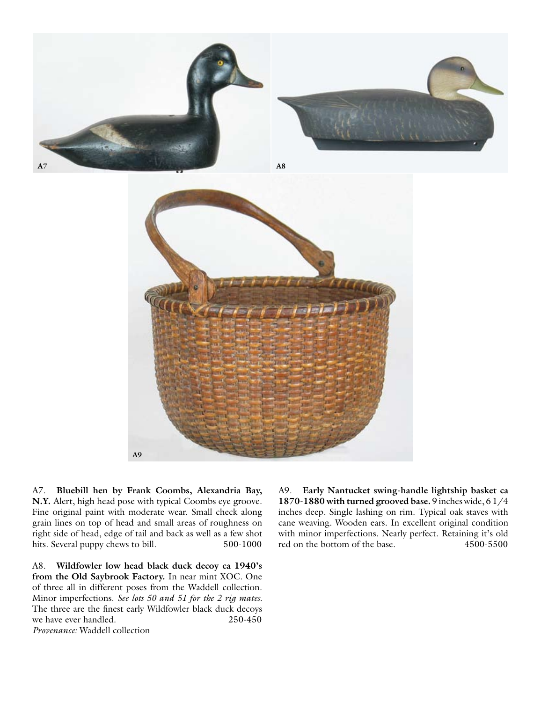



A7. **Bluebill hen by Frank Coombs, Alexandria Bay, N.Y.** Alert, high head pose with typical Coombs eye groove. Fine original paint with moderate wear. Small check along grain lines on top of head and small areas of roughness on right side of head, edge of tail and back as well as a few shot hits. Several puppy chews to bill. 500-1000

A8. **Wildfowler low head black duck decoy ca 1940's from the Old Saybrook Factory.** In near mint XOC. One of three all in different poses from the Waddell collection. Minor imperfections. *See lots 50 and 51 for the 2 rig mates.* The three are the finest early Wildfowler black duck decoys we have ever handled. 250-450 *Provenance:* Waddell collection

A9. **Early Nantucket swing-handle lightship basket ca 1870-1880 with turned grooved base.** 9 inches wide, 6 1/4 inches deep. Single lashing on rim. Typical oak staves with cane weaving. Wooden ears. In excellent original condition with minor imperfections. Nearly perfect. Retaining it's old red on the bottom of the base. 4500-5500